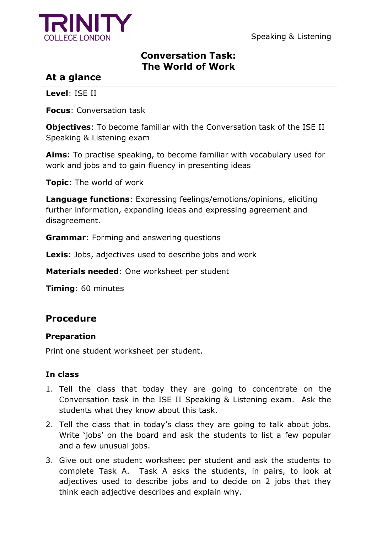

Speaking & Listening

# **Conversation Task: The World of Work**

# **At a glance**

**Level**: ISE II

**Focus**: Conversation task

**Objectives**: To become familiar with the Conversation task of the ISE II Speaking & Listening exam

**Aims**: To practise speaking, to become familiar with vocabulary used for work and jobs and to gain fluency in presenting ideas

**Topic**: The world of work

**Language functions**: Expressing feelings/emotions/opinions, eliciting further information, expanding ideas and expressing agreement and disagreement.

**Grammar**: Forming and answering questions

**Lexis**: Jobs, adjectives used to describe jobs and work

**Materials needed**: One worksheet per student

**Timing**: 60 minutes

# **Procedure**

## **Preparation**

Print one student worksheet per student.

## **In class**

- 1. Tell the class that today they are going to concentrate on the Conversation task in the ISE II Speaking & Listening exam. Ask the students what they know about this task.
- 2. Tell the class that in today's class they are going to talk about jobs. Write 'jobs' on the board and ask the students to list a few popular and a few unusual jobs.
- 3. Give out one student worksheet per student and ask the students to complete Task A. Task A asks the students, in pairs, to look at adjectives used to describe jobs and to decide on 2 jobs that they think each adjective describes and explain why.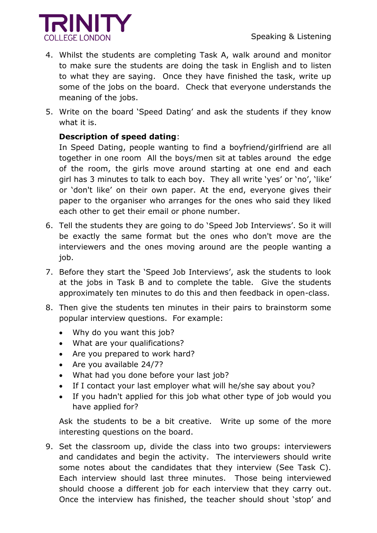

- 4. Whilst the students are completing Task A, walk around and monitor to make sure the students are doing the task in English and to listen to what they are saying. Once they have finished the task, write up some of the jobs on the board. Check that everyone understands the meaning of the jobs.
- 5. Write on the board 'Speed Dating' and ask the students if they know what it is.

## **Description of speed dating**:

In Speed Dating, people wanting to find a boyfriend/girlfriend are all together in one room All the boys/men sit at tables around the edge of the room, the girls move around starting at one end and each girl has 3 minutes to talk to each boy. They all write 'yes' or 'no', 'like' or 'don't like' on their own paper. At the end, everyone gives their paper to the organiser who arranges for the ones who said they liked each other to get their email or phone number.

- 6. Tell the students they are going to do 'Speed Job Interviews'. So it will be exactly the same format but the ones who don't move are the interviewers and the ones moving around are the people wanting a job.
- 7. Before they start the 'Speed Job Interviews', ask the students to look at the jobs in Task B and to complete the table. Give the students approximately ten minutes to do this and then feedback in open-class.
- 8. Then give the students ten minutes in their pairs to brainstorm some popular interview questions. For example:
	- Why do you want this job?
	- What are your qualifications?
	- Are you prepared to work hard?
	- Are you available 24/7?
	- What had you done before your last job?
	- If I contact your last employer what will he/she say about you?
	- If you hadn't applied for this job what other type of job would you have applied for?

Ask the students to be a bit creative. Write up some of the more interesting questions on the board.

9. Set the classroom up, divide the class into two groups: interviewers and candidates and begin the activity. The interviewers should write some notes about the candidates that they interview (See Task C). Each interview should last three minutes. Those being interviewed should choose a different job for each interview that they carry out. Once the interview has finished, the teacher should shout 'stop' and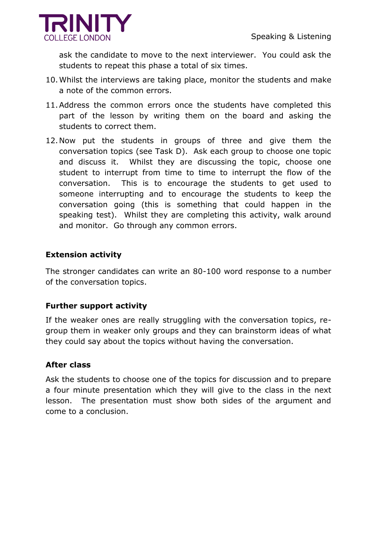

ask the candidate to move to the next interviewer. You could ask the students to repeat this phase a total of six times.

- 10.Whilst the interviews are taking place, monitor the students and make a note of the common errors.
- 11.Address the common errors once the students have completed this part of the lesson by writing them on the board and asking the students to correct them.
- 12.Now put the students in groups of three and give them the conversation topics (see Task D). Ask each group to choose one topic and discuss it. Whilst they are discussing the topic, choose one student to interrupt from time to time to interrupt the flow of the conversation. This is to encourage the students to get used to someone interrupting and to encourage the students to keep the conversation going (this is something that could happen in the speaking test). Whilst they are completing this activity, walk around and monitor. Go through any common errors.

#### **Extension activity**

The stronger candidates can write an 80-100 word response to a number of the conversation topics.

#### **Further support activity**

If the weaker ones are really struggling with the conversation topics, regroup them in weaker only groups and they can brainstorm ideas of what they could say about the topics without having the conversation.

#### **After class**

Ask the students to choose one of the topics for discussion and to prepare a four minute presentation which they will give to the class in the next lesson. The presentation must show both sides of the argument and come to a conclusion.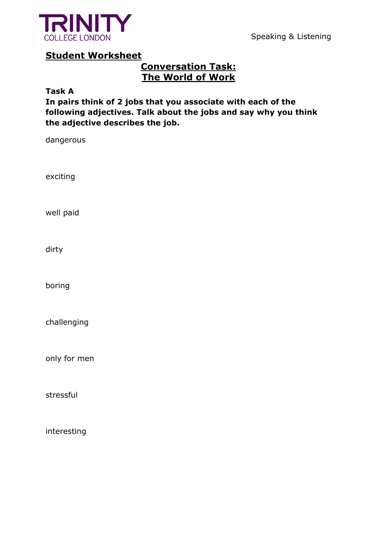

Speaking & Listening

## **Student Worksheet**

# **Conversation Task: The World of Work**

**Task A**

**In pairs think of 2 jobs that you associate with each of the following adjectives. Talk about the jobs and say why you think the adjective describes the job.**

dangerous

exciting

well paid

dirty

boring

challenging

only for men

stressful

interesting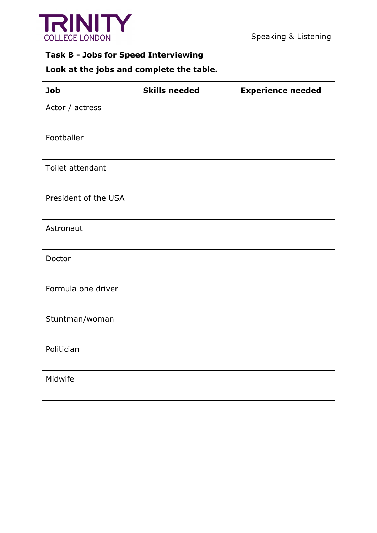

# **Task B - Jobs for Speed Interviewing**

# **Look at the jobs and complete the table.**

| <b>Job</b>           | <b>Skills needed</b> | <b>Experience needed</b> |
|----------------------|----------------------|--------------------------|
| Actor / actress      |                      |                          |
| Footballer           |                      |                          |
| Toilet attendant     |                      |                          |
| President of the USA |                      |                          |
| Astronaut            |                      |                          |
| Doctor               |                      |                          |
| Formula one driver   |                      |                          |
| Stuntman/woman       |                      |                          |
| Politician           |                      |                          |
| Midwife              |                      |                          |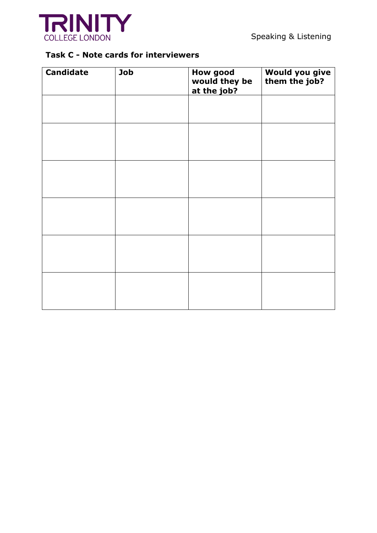

## **Task C - Note cards for interviewers**

| <b>Candidate</b> | Job | <b>How good</b><br>would they be<br>at the job? | Would you give<br>them the job? |
|------------------|-----|-------------------------------------------------|---------------------------------|
|                  |     |                                                 |                                 |
|                  |     |                                                 |                                 |
|                  |     |                                                 |                                 |
|                  |     |                                                 |                                 |
|                  |     |                                                 |                                 |
|                  |     |                                                 |                                 |